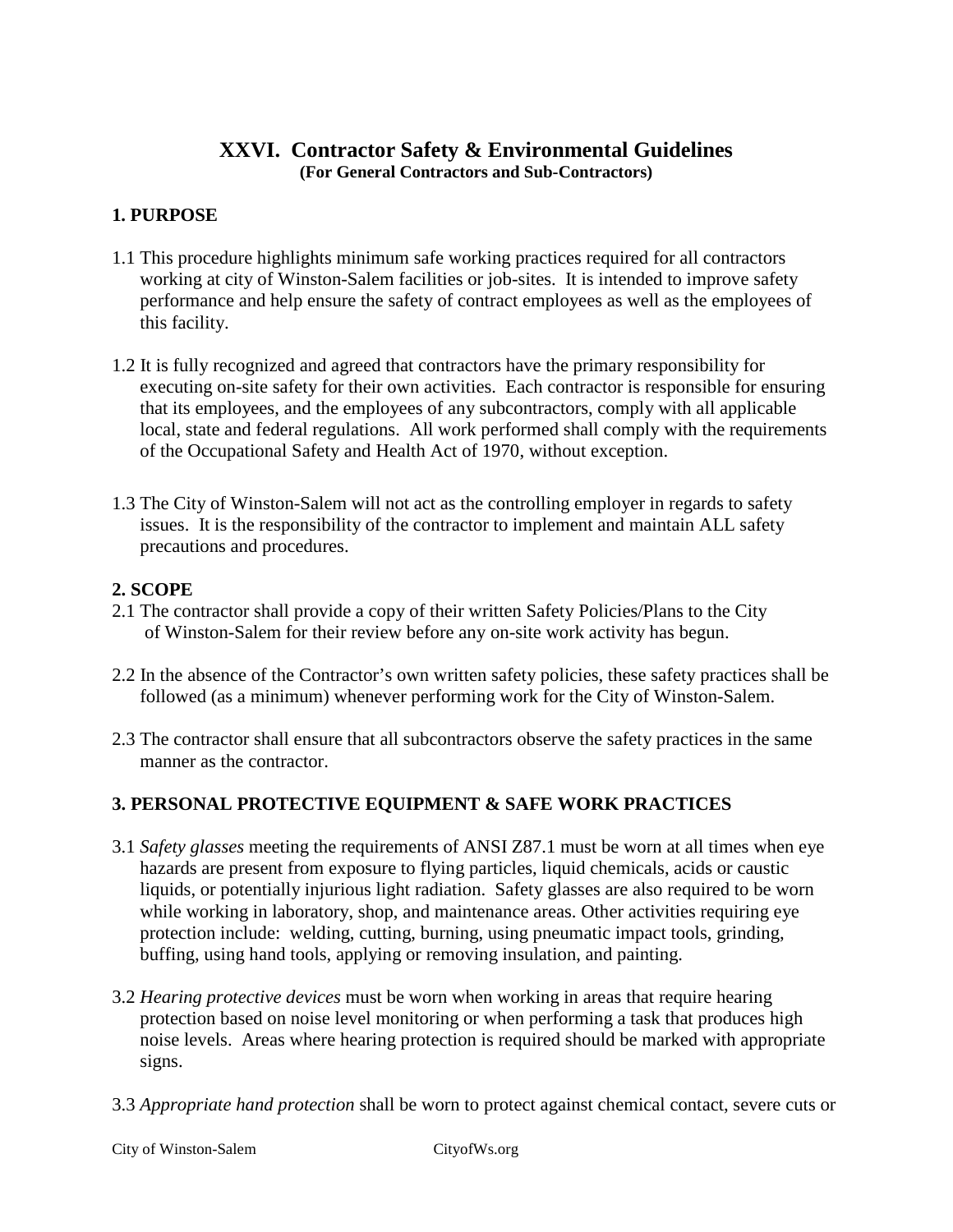# **XXVI. Contractor Safety & Environmental Guidelines (For General Contractors and Sub-Contractors)**

## **1. PURPOSE**

- 1.1 This procedure highlights minimum safe working practices required for all contractors working at city of Winston-Salem facilities or job-sites. It is intended to improve safety performance and help ensure the safety of contract employees as well as the employees of this facility.
- 1.2 It is fully recognized and agreed that contractors have the primary responsibility for executing on-site safety for their own activities. Each contractor is responsible for ensuring that its employees, and the employees of any subcontractors, comply with all applicable local, state and federal regulations. All work performed shall comply with the requirements of the Occupational Safety and Health Act of 1970, without exception.
- 1.3 The City of Winston-Salem will not act as the controlling employer in regards to safety issues. It is the responsibility of the contractor to implement and maintain ALL safety precautions and procedures.

#### **2. SCOPE**

- 2.1 The contractor shall provide a copy of their written Safety Policies/Plans to the City of Winston-Salem for their review before any on-site work activity has begun.
- 2.2 In the absence of the Contractor's own written safety policies, these safety practices shall be followed (as a minimum) whenever performing work for the City of Winston-Salem.
- 2.3 The contractor shall ensure that all subcontractors observe the safety practices in the same manner as the contractor.

# **3. PERSONAL PROTECTIVE EQUIPMENT & SAFE WORK PRACTICES**

- 3.1 *Safety glasses* meeting the requirements of ANSI Z87.1 must be worn at all times when eye hazards are present from exposure to flying particles, liquid chemicals, acids or caustic liquids, or potentially injurious light radiation. Safety glasses are also required to be worn while working in laboratory, shop, and maintenance areas. Other activities requiring eye protection include: welding, cutting, burning, using pneumatic impact tools, grinding, buffing, using hand tools, applying or removing insulation, and painting.
- 3.2 *Hearing protective devices* must be worn when working in areas that require hearing protection based on noise level monitoring or when performing a task that produces high noise levels. Areas where hearing protection is required should be marked with appropriate signs.
- 3.3 *Appropriate hand protection* shall be worn to protect against chemical contact, severe cuts or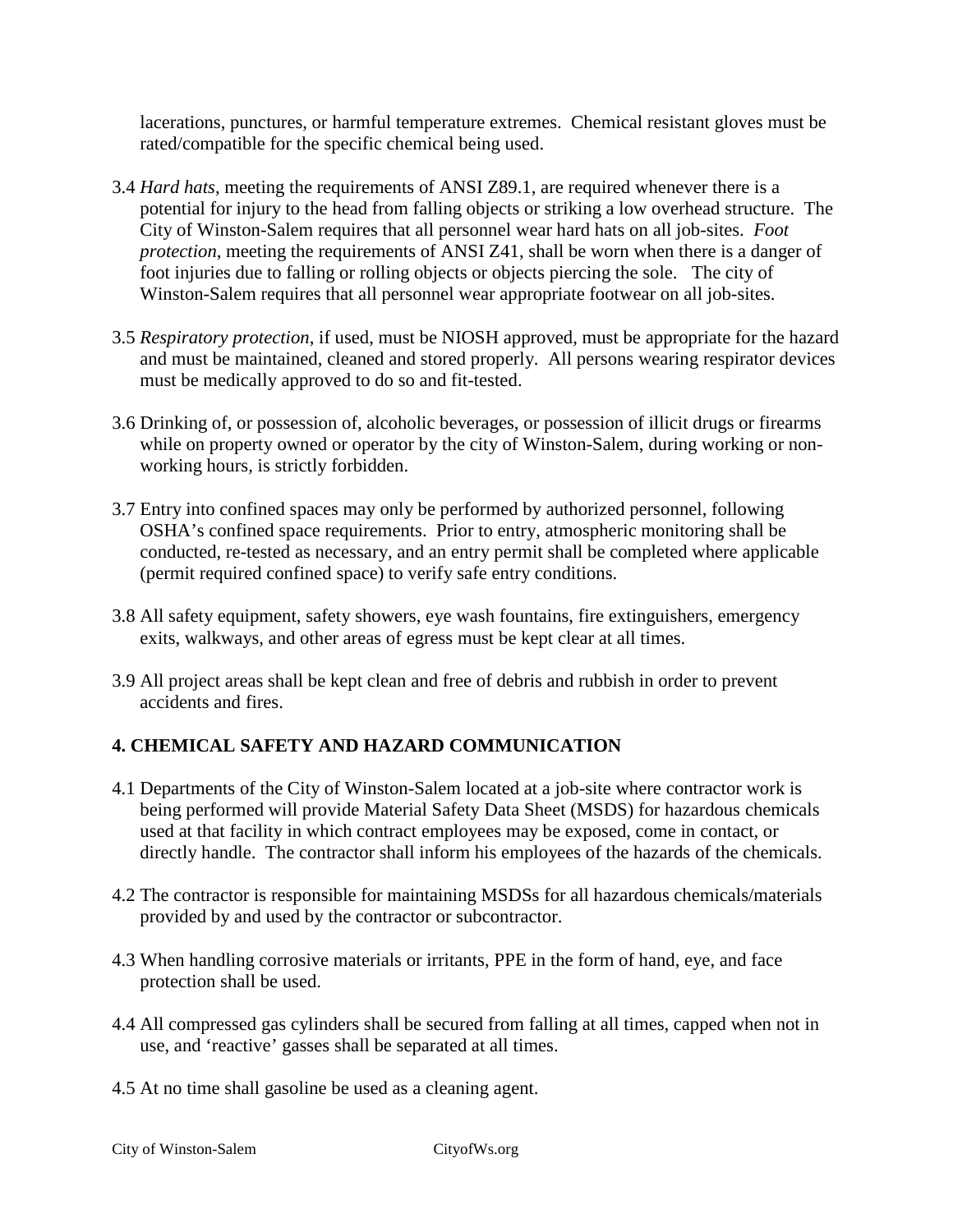lacerations, punctures, or harmful temperature extremes. Chemical resistant gloves must be rated/compatible for the specific chemical being used.

- 3.4 *Hard hats*, meeting the requirements of ANSI Z89.1, are required whenever there is a potential for injury to the head from falling objects or striking a low overhead structure. The City of Winston-Salem requires that all personnel wear hard hats on all job-sites. *Foot protection*, meeting the requirements of ANSI Z41, shall be worn when there is a danger of foot injuries due to falling or rolling objects or objects piercing the sole. The city of Winston-Salem requires that all personnel wear appropriate footwear on all job-sites.
- 3.5 *Respiratory protection*, if used, must be NIOSH approved, must be appropriate for the hazard and must be maintained, cleaned and stored properly. All persons wearing respirator devices must be medically approved to do so and fit-tested.
- 3.6 Drinking of, or possession of, alcoholic beverages, or possession of illicit drugs or firearms while on property owned or operator by the city of Winston-Salem, during working or nonworking hours, is strictly forbidden.
- 3.7 Entry into confined spaces may only be performed by authorized personnel, following OSHA's confined space requirements. Prior to entry, atmospheric monitoring shall be conducted, re-tested as necessary, and an entry permit shall be completed where applicable (permit required confined space) to verify safe entry conditions.
- 3.8 All safety equipment, safety showers, eye wash fountains, fire extinguishers, emergency exits, walkways, and other areas of egress must be kept clear at all times.
- 3.9 All project areas shall be kept clean and free of debris and rubbish in order to prevent accidents and fires.

# **4. CHEMICAL SAFETY AND HAZARD COMMUNICATION**

- 4.1 Departments of the City of Winston-Salem located at a job-site where contractor work is being performed will provide Material Safety Data Sheet (MSDS) for hazardous chemicals used at that facility in which contract employees may be exposed, come in contact, or directly handle. The contractor shall inform his employees of the hazards of the chemicals.
- 4.2 The contractor is responsible for maintaining MSDSs for all hazardous chemicals/materials provided by and used by the contractor or subcontractor.
- 4.3 When handling corrosive materials or irritants, PPE in the form of hand, eye, and face protection shall be used.
- 4.4 All compressed gas cylinders shall be secured from falling at all times, capped when not in use, and 'reactive' gasses shall be separated at all times.
- 4.5 At no time shall gasoline be used as a cleaning agent.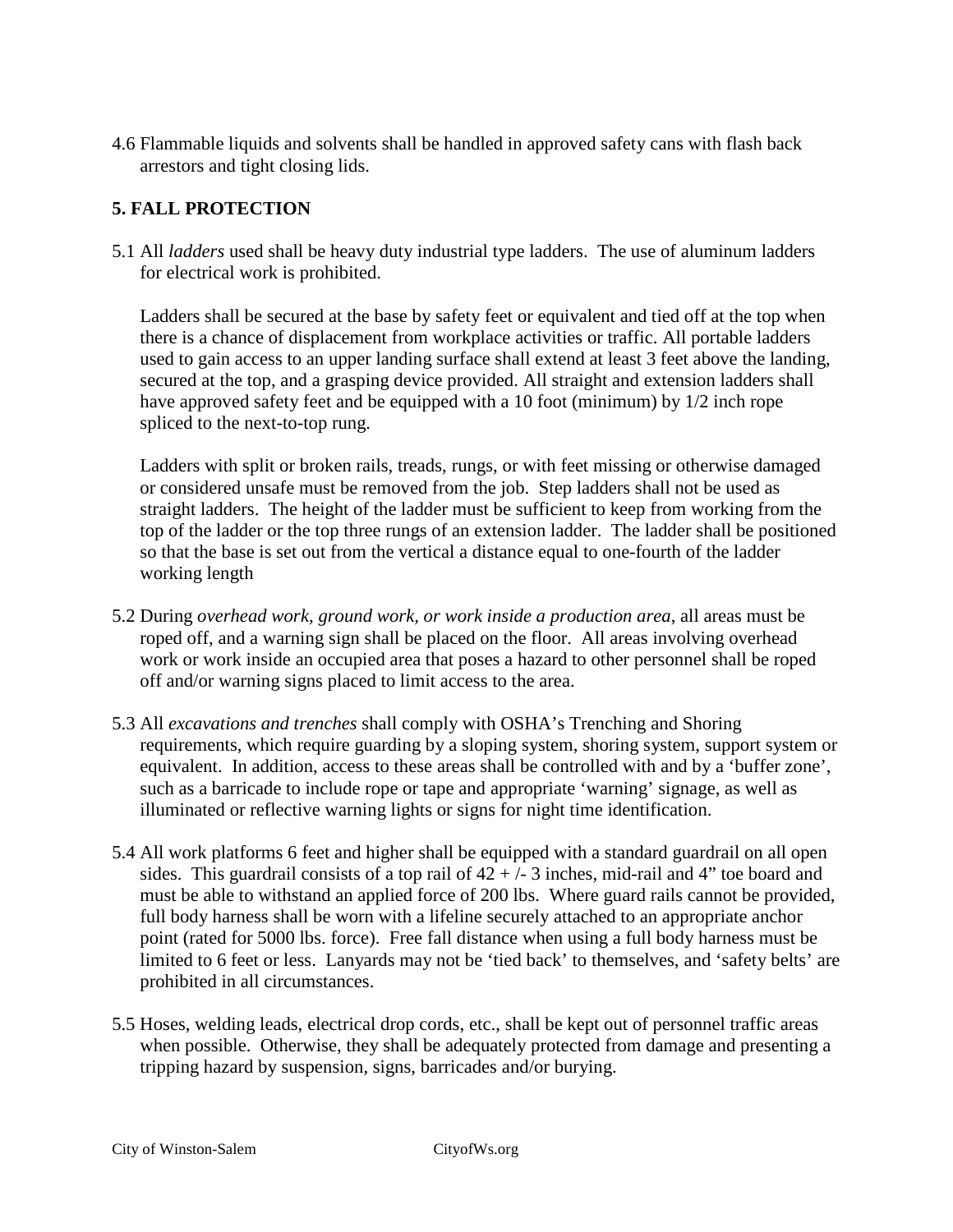4.6 Flammable liquids and solvents shall be handled in approved safety cans with flash back arrestors and tight closing lids.

## **5. FALL PROTECTION**

5.1 All *ladders* used shall be heavy duty industrial type ladders. The use of aluminum ladders for electrical work is prohibited.

Ladders shall be secured at the base by safety feet or equivalent and tied off at the top when there is a chance of displacement from workplace activities or traffic. All portable ladders used to gain access to an upper landing surface shall extend at least 3 feet above the landing, secured at the top, and a grasping device provided. All straight and extension ladders shall have approved safety feet and be equipped with a 10 foot (minimum) by 1/2 inch rope spliced to the next-to-top rung.

Ladders with split or broken rails, treads, rungs, or with feet missing or otherwise damaged or considered unsafe must be removed from the job. Step ladders shall not be used as straight ladders. The height of the ladder must be sufficient to keep from working from the top of the ladder or the top three rungs of an extension ladder. The ladder shall be positioned so that the base is set out from the vertical a distance equal to one-fourth of the ladder working length

- 5.2 During *overhead work, ground work, or work inside a production area*, all areas must be roped off, and a warning sign shall be placed on the floor. All areas involving overhead work or work inside an occupied area that poses a hazard to other personnel shall be roped off and/or warning signs placed to limit access to the area.
- 5.3 All *excavations and trenches* shall comply with OSHA's Trenching and Shoring requirements, which require guarding by a sloping system, shoring system, support system or equivalent. In addition, access to these areas shall be controlled with and by a 'buffer zone', such as a barricade to include rope or tape and appropriate 'warning' signage, as well as illuminated or reflective warning lights or signs for night time identification.
- 5.4 All work platforms 6 feet and higher shall be equipped with a standard guardrail on all open sides. This guardrail consists of a top rail of  $42 + (-3)$  inches, mid-rail and 4" toe board and must be able to withstand an applied force of 200 lbs. Where guard rails cannot be provided, full body harness shall be worn with a lifeline securely attached to an appropriate anchor point (rated for 5000 lbs. force). Free fall distance when using a full body harness must be limited to 6 feet or less. Lanyards may not be 'tied back' to themselves, and 'safety belts' are prohibited in all circumstances.
- 5.5 Hoses, welding leads, electrical drop cords, etc., shall be kept out of personnel traffic areas when possible. Otherwise, they shall be adequately protected from damage and presenting a tripping hazard by suspension, signs, barricades and/or burying.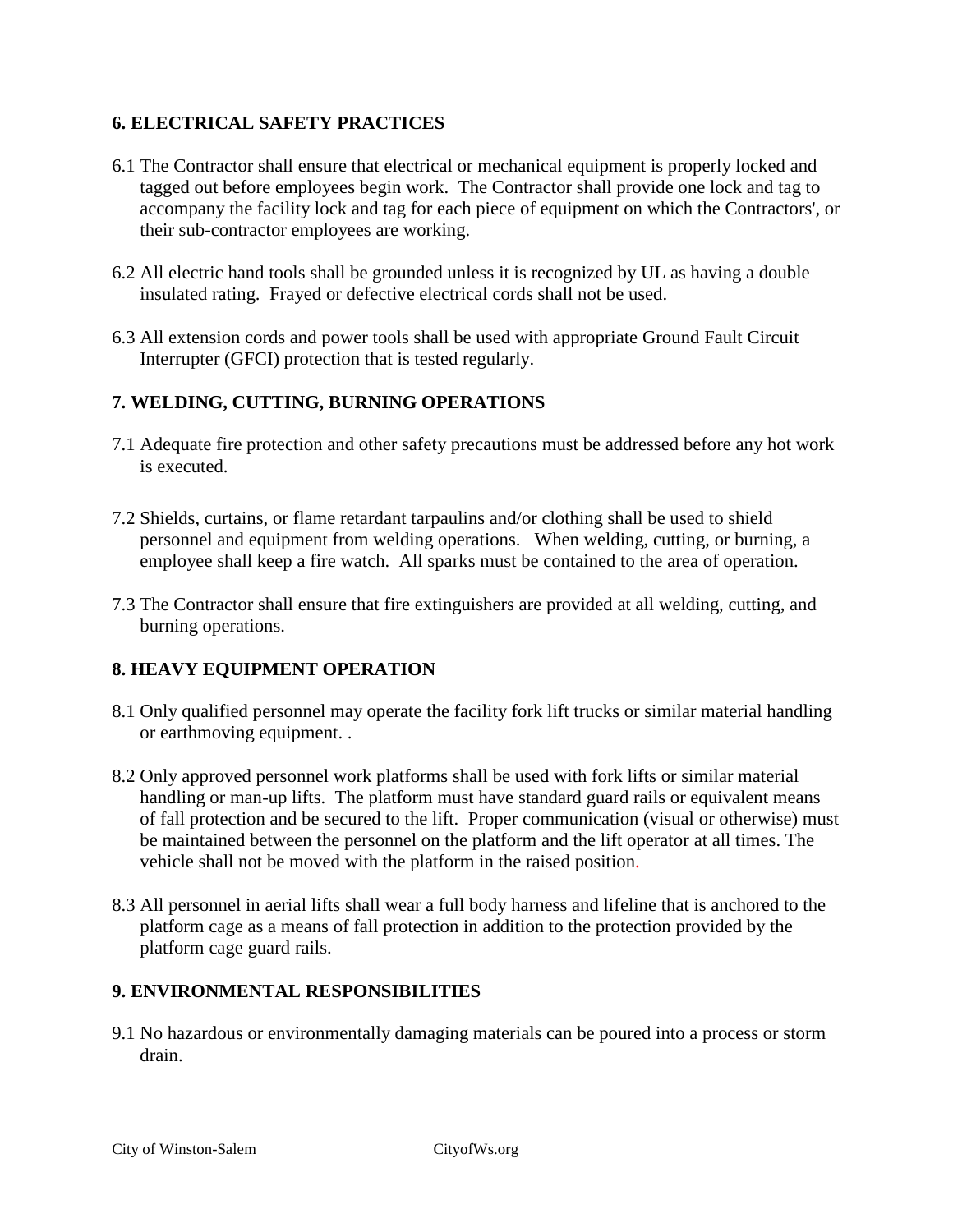# **6. ELECTRICAL SAFETY PRACTICES**

- 6.1 The Contractor shall ensure that electrical or mechanical equipment is properly locked and tagged out before employees begin work. The Contractor shall provide one lock and tag to accompany the facility lock and tag for each piece of equipment on which the Contractors', or their sub-contractor employees are working.
- 6.2 All electric hand tools shall be grounded unless it is recognized by UL as having a double insulated rating. Frayed or defective electrical cords shall not be used.
- 6.3 All extension cords and power tools shall be used with appropriate Ground Fault Circuit Interrupter (GFCI) protection that is tested regularly.

# **7. WELDING, CUTTING, BURNING OPERATIONS**

- 7.1 Adequate fire protection and other safety precautions must be addressed before any hot work is executed.
- 7.2 Shields, curtains, or flame retardant tarpaulins and/or clothing shall be used to shield personnel and equipment from welding operations. When welding, cutting, or burning, a employee shall keep a fire watch. All sparks must be contained to the area of operation.
- 7.3 The Contractor shall ensure that fire extinguishers are provided at all welding, cutting, and burning operations.

# **8. HEAVY EQUIPMENT OPERATION**

- 8.1 Only qualified personnel may operate the facility fork lift trucks or similar material handling or earthmoving equipment. .
- 8.2 Only approved personnel work platforms shall be used with fork lifts or similar material handling or man-up lifts. The platform must have standard guard rails or equivalent means of fall protection and be secured to the lift. Proper communication (visual or otherwise) must be maintained between the personnel on the platform and the lift operator at all times. The vehicle shall not be moved with the platform in the raised position.
- 8.3 All personnel in aerial lifts shall wear a full body harness and lifeline that is anchored to the platform cage as a means of fall protection in addition to the protection provided by the platform cage guard rails.

#### **9. ENVIRONMENTAL RESPONSIBILITIES**

9.1 No hazardous or environmentally damaging materials can be poured into a process or storm drain.